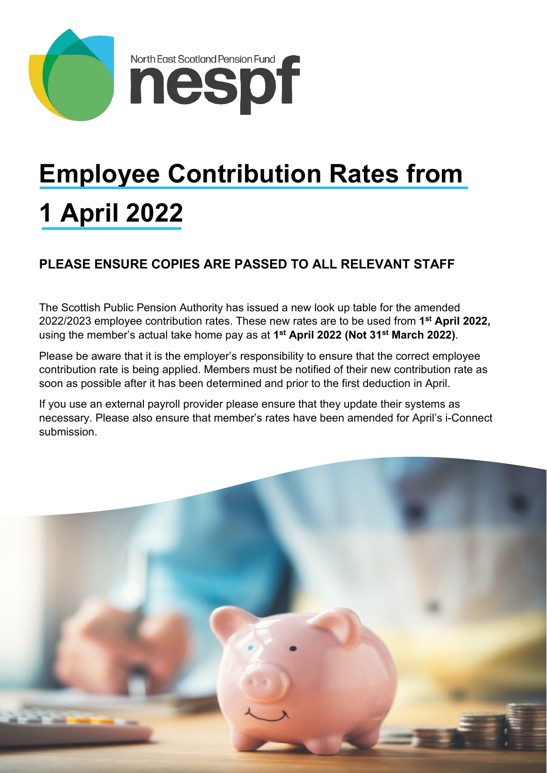



# **Employee Contribution Rates from 1 April 2022**

## **PLEASE ENSURE COPIES ARE PASSED TO ALL RELEVANT STAFF**

The Scottish Public Pension Authority has issued a new look up table for the amended 2022/2023 employee contribution rates. These new rates are to be used from **1st April 2022,**  using the member's actual take home pay as at **1st April 2022 (Not 31st March 2022)**.

Please be aware that it is the employer's responsibility to ensure that the correct employee contribution rate is being applied. Members must be notified of their new contribution rate as soon as possible after it has been determined and prior to the first deduction in April.

If you use an external payroll provider please ensure that they update their systems as necessary. Please also ensure that member's rates have been amended for April's i-Connect submission.